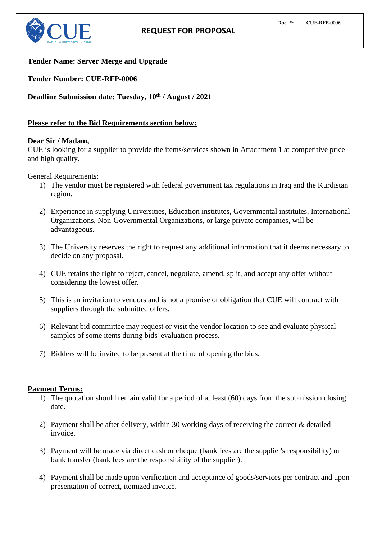

# **Tender Name: Server Merge and Upgrade**

**Tender Number: CUE-RFP-0006**

**Deadline Submission date: Tuesday, 10th / August / 2021**

# **Please refer to the Bid Requirements section below:**

## **Dear Sir / Madam,**

CUE is looking for a supplier to provide the items/services shown in Attachment 1 at competitive price and high quality.

General Requirements:

- 1) The vendor must be registered with federal government tax regulations in Iraq and the Kurdistan region.
- 2) Experience in supplying Universities, Education institutes, Governmental institutes, International Organizations, Non-Governmental Organizations, or large private companies, will be advantageous.
- 3) The University reserves the right to request any additional information that it deems necessary to decide on any proposal.
- 4) CUE retains the right to reject, cancel, negotiate, amend, split, and accept any offer without considering the lowest offer.
- 5) This is an invitation to vendors and is not a promise or obligation that CUE will contract with suppliers through the submitted offers.
- 6) Relevant bid committee may request or visit the vendor location to see and evaluate physical samples of some items during bids' evaluation process.
- 7) Bidders will be invited to be present at the time of opening the bids.

# **Payment Terms:**

- 1) The quotation should remain valid for a period of at least (60) days from the submission closing date.
- 2) Payment shall be after delivery, within 30 working days of receiving the correct & detailed invoice.
- 3) Payment will be made via direct cash or cheque (bank fees are the supplier's responsibility) or bank transfer (bank fees are the responsibility of the supplier).
- 4) Payment shall be made upon verification and acceptance of goods/services per contract and upon presentation of correct, itemized invoice.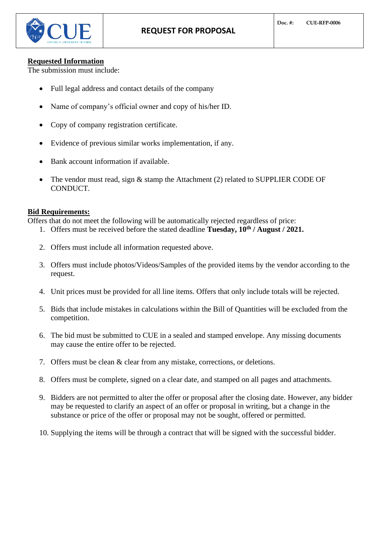## **Requested Information**

The submission must include:

- Full legal address and contact details of the company
- Name of company's official owner and copy of his/her ID.
- Copy of company registration certificate.
- Evidence of previous similar works implementation, if any.
- Bank account information if available.
- The vendor must read, sign & stamp the Attachment (2) related to SUPPLIER CODE OF CONDUCT.

# **Bid Requirements:**

Offers that do not meet the following will be automatically rejected regardless of price:

- 1. Offers must be received before the stated deadline **Tuesday, 10th / August / 2021.**
- 2. Offers must include all information requested above.
- 3. Offers must include photos/Videos/Samples of the provided items by the vendor according to the request.
- 4. Unit prices must be provided for all line items. Offers that only include totals will be rejected.
- 5. Bids that include mistakes in calculations within the Bill of Quantities will be excluded from the competition.
- 6. The bid must be submitted to CUE in a sealed and stamped envelope. Any missing documents may cause the entire offer to be rejected.
- 7. Offers must be clean & clear from any mistake, corrections, or deletions.
- 8. Offers must be complete, signed on a clear date, and stamped on all pages and attachments.
- 9. Bidders are not permitted to alter the offer or proposal after the closing date. However, any bidder may be requested to clarify an aspect of an offer or proposal in writing, but a change in the substance or price of the offer or proposal may not be sought, offered or permitted.
- 10. Supplying the items will be through a contract that will be signed with the successful bidder.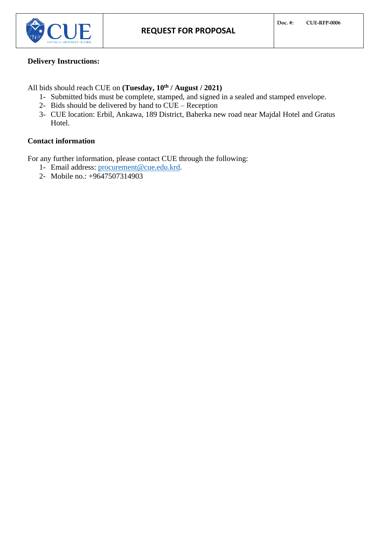

# **Delivery Instructions:**

All bids should reach CUE on **(Tuesday, 10th / August / 2021)**

- 1- Submitted bids must be complete, stamped, and signed in a sealed and stamped envelope.
- 2- Bids should be delivered by hand to CUE Reception
- 3- CUE location: Erbil, Ankawa, 189 District, Baherka new road near Majdal Hotel and Gratus Hotel.

# **Contact information**

For any further information, please contact CUE through the following:

- 1- Email address: [procurement@cue.edu.krd.](mailto:procurement@cue.edu.krd)
- 2- Mobile no.: +9647507314903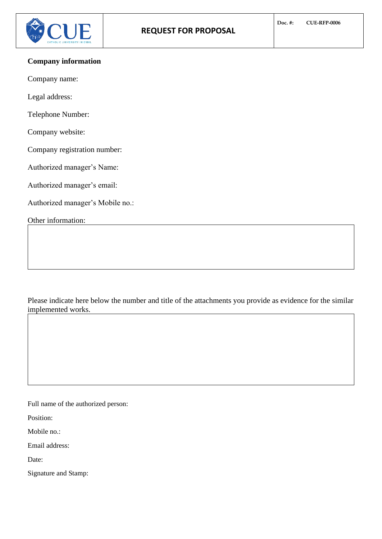# **Company information**

Company name:

Legal address:

Telephone Number:

Company website:

Company registration number:

Authorized manager's Name:

Authorized manager's email:

Authorized manager's Mobile no.:

Other information:

Please indicate here below the number and title of the attachments you provide as evidence for the similar implemented works.

Full name of the authorized person:

Position:

Mobile no.:

Email address:

Date:

Signature and Stamp: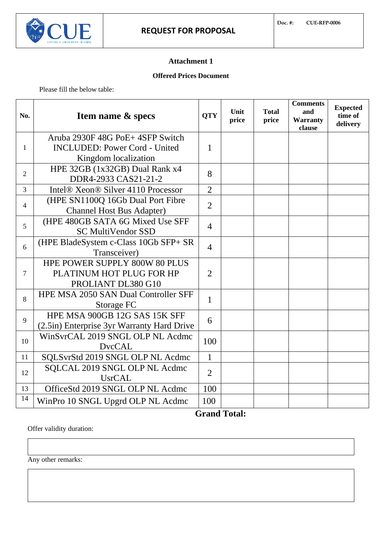# **Attachment 1**

## **Offered Prices Document**

Please fill the below table:

| No.            | <b>Item name &amp; specs</b>                                  | <b>QTY</b>     | Unit<br>price | <b>Total</b><br>price | <b>Comments</b><br>and<br>Warranty<br>clause | <b>Expected</b><br>time of<br>delivery |
|----------------|---------------------------------------------------------------|----------------|---------------|-----------------------|----------------------------------------------|----------------------------------------|
| 1              | Aruba 2930F 48G PoE+4SFP Switch                               | 1              |               |                       |                                              |                                        |
|                | <b>INCLUDED: Power Cord - United</b>                          |                |               |                       |                                              |                                        |
|                | Kingdom localization                                          |                |               |                       |                                              |                                        |
| $\overline{2}$ | HPE 32GB (1x32GB) Dual Rank x4<br>DDR4-2933 CAS21-21-2        | 8              |               |                       |                                              |                                        |
| $\overline{3}$ | Intel® Xeon® Silver 4110 Processor                            | $\overline{2}$ |               |                       |                                              |                                        |
| $\overline{4}$ | (HPE SN1100Q 16Gb Dual Port Fibre                             | $\overline{2}$ |               |                       |                                              |                                        |
|                | <b>Channel Host Bus Adapter)</b>                              |                |               |                       |                                              |                                        |
| 5              | (HPE 480GB SATA 6G Mixed Use SFF<br><b>SC MultiVendor SSD</b> | $\overline{4}$ |               |                       |                                              |                                        |
| 6              | (HPE BladeSystem c-Class 10Gb SFP+ SR                         | $\overline{4}$ |               |                       |                                              |                                        |
|                | Transceiver)                                                  |                |               |                       |                                              |                                        |
| $\overline{7}$ | HPE POWER SUPPLY 800W 80 PLUS                                 | $\overline{2}$ |               |                       |                                              |                                        |
|                | PLATINUM HOT PLUG FOR HP                                      |                |               |                       |                                              |                                        |
|                | PROLIANT DL380 G10                                            |                |               |                       |                                              |                                        |
| 8              | HPE MSA 2050 SAN Dual Controller SFF                          | 1              |               |                       |                                              |                                        |
|                | Storage FC                                                    |                |               |                       |                                              |                                        |
| 9              | HPE MSA 900GB 12G SAS 15K SFF                                 | 6              |               |                       |                                              |                                        |
|                | (2.5in) Enterprise 3yr Warranty Hard Drive                    |                |               |                       |                                              |                                        |
| 10             | WinSvrCAL 2019 SNGL OLP NL Acdmc                              | 100            |               |                       |                                              |                                        |
|                | <b>DvcCAL</b>                                                 |                |               |                       |                                              |                                        |
| 11             | SQLSvrStd 2019 SNGL OLP NL Acdmc                              | $\mathbf{1}$   |               |                       |                                              |                                        |
| 12             | SQLCAL 2019 SNGL OLP NL Acdmc                                 | $\overline{2}$ |               |                       |                                              |                                        |
|                | <b>UsrCAL</b>                                                 |                |               |                       |                                              |                                        |
| 13             | OfficeStd 2019 SNGL OLP NL Acdmc                              | 100            |               |                       |                                              |                                        |
| 14             | WinPro 10 SNGL Upgrd OLP NL Acdmc                             | 100            |               |                       |                                              |                                        |

 **Grand Total:** 

Offer validity duration:

Any other remarks: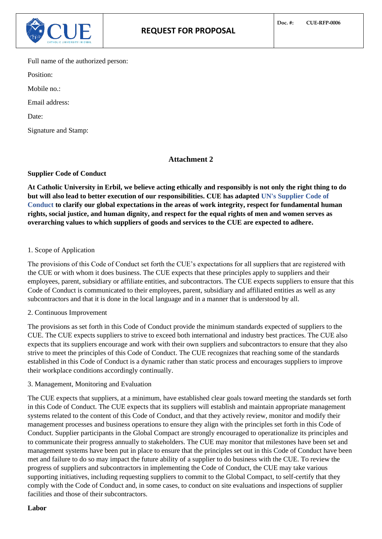

Full name of the authorized person:

Position:

Mobile no.:

Email address:

Date:

Signature and Stamp:

# **Attachment 2**

## **Supplier Code of Conduct**

**At Catholic University in Erbil, we believe acting ethically and responsibly is not only the right thing to do but will also lead to better execution of our responsibilities. CUE has adapted UN's Supplier Code of Conduct to clarify our global expectations in the areas of work integrity, respect for fundamental human rights, social justice, and human dignity, and respect for the equal rights of men and women serves as overarching values to which suppliers of goods and services to the CUE are expected to adhere.** 

## 1. Scope of Application

The provisions of this Code of Conduct set forth the CUE's expectations for all suppliers that are registered with the CUE or with whom it does business. The CUE expects that these principles apply to suppliers and their employees, parent, subsidiary or affiliate entities, and subcontractors. The CUE expects suppliers to ensure that this Code of Conduct is communicated to their employees, parent, subsidiary and affiliated entities as well as any subcontractors and that it is done in the local language and in a manner that is understood by all.

## 2. Continuous Improvement

The provisions as set forth in this Code of Conduct provide the minimum standards expected of suppliers to the CUE. The CUE expects suppliers to strive to exceed both international and industry best practices. The CUE also expects that its suppliers encourage and work with their own suppliers and subcontractors to ensure that they also strive to meet the principles of this Code of Conduct. The CUE recognizes that reaching some of the standards established in this Code of Conduct is a dynamic rather than static process and encourages suppliers to improve their workplace conditions accordingly continually.

3. Management, Monitoring and Evaluation

The CUE expects that suppliers, at a minimum, have established clear goals toward meeting the standards set forth in this Code of Conduct. The CUE expects that its suppliers will establish and maintain appropriate management systems related to the content of this Code of Conduct, and that they actively review, monitor and modify their management processes and business operations to ensure they align with the principles set forth in this Code of Conduct. Supplier participants in the Global Compact are strongly encouraged to operationalize its principles and to communicate their progress annually to stakeholders. The CUE may monitor that milestones have been set and management systems have been put in place to ensure that the principles set out in this Code of Conduct have been met and failure to do so may impact the future ability of a supplier to do business with the CUE. To review the progress of suppliers and subcontractors in implementing the Code of Conduct, the CUE may take various supporting initiatives, including requesting suppliers to commit to the Global Compact, to self-certify that they comply with the Code of Conduct and, in some cases, to conduct on site evaluations and inspections of supplier facilities and those of their subcontractors.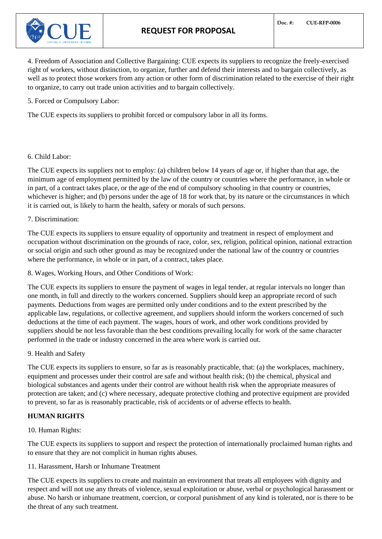# **REQUEST FOR PROPOSAL**



4. Freedom of Association and Collective Bargaining: CUE expects its suppliers to recognize the freely-exercised right of workers, without distinction, to organize, further and defend their interests and to bargain collectively, as well as to protect those workers from any action or other form of discrimination related to the exercise of their right to organize, to carry out trade union activities and to bargain collectively.

5. Forced or Compulsory Labor:

The CUE expects its suppliers to prohibit forced or compulsory labor in all its forms.

### 6. Child Labor:

The CUE expects its suppliers not to employ: (a) children below 14 years of age or, if higher than that age, the minimum age of employment permitted by the law of the country or countries where the performance, in whole or in part, of a contract takes place, or the age of the end of compulsory schooling in that country or countries, whichever is higher; and (b) persons under the age of 18 for work that, by its nature or the circumstances in which it is carried out, is likely to harm the health, safety or morals of such persons.

## 7. Discrimination:

The CUE expects its suppliers to ensure equality of opportunity and treatment in respect of employment and occupation without discrimination on the grounds of race, color, sex, religion, political opinion, national extraction or social origin and such other ground as may be recognized under the national law of the country or countries where the performance, in whole or in part, of a contract, takes place.

8. Wages, Working Hours, and Other Conditions of Work:

The CUE expects its suppliers to ensure the payment of wages in legal tender, at regular intervals no longer than one month, in full and directly to the workers concerned. Suppliers should keep an appropriate record of such payments. Deductions from wages are permitted only under conditions and to the extent prescribed by the applicable law, regulations, or collective agreement, and suppliers should inform the workers concerned of such deductions at the time of each payment. The wages, hours of work, and other work conditions provided by suppliers should be not less favorable than the best conditions prevailing locally for work of the same character performed in the trade or industry concerned in the area where work is carried out.

### 9. Health and Safety

The CUE expects its suppliers to ensure, so far as is reasonably practicable, that: (a) the workplaces, machinery, equipment and processes under their control are safe and without health risk; (b) the chemical, physical and biological substances and agents under their control are without health risk when the appropriate measures of protection are taken; and (c) where necessary, adequate protective clothing and protective equipment are provided to prevent, so far as is reasonably practicable, risk of accidents or of adverse effects to health.

## **HUMAN RIGHTS**

10. Human Rights:

The CUE expects its suppliers to support and respect the protection of internationally proclaimed human rights and to ensure that they are not complicit in human rights abuses.

### 11. Harassment, Harsh or Inhumane Treatment

The CUE expects its suppliers to create and maintain an environment that treats all employees with dignity and respect and will not use any threats of violence, sexual exploitation or abuse, verbal or psychological harassment or abuse. No harsh or inhumane treatment, coercion, or corporal punishment of any kind is tolerated, nor is there to be the threat of any such treatment.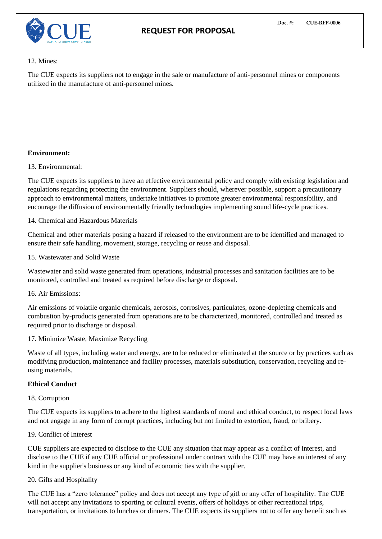

#### 12. Mines:

The CUE expects its suppliers not to engage in the sale or manufacture of anti-personnel mines or components utilized in the manufacture of anti-personnel mines.

## **Environment:**

## 13. Environmental:

The CUE expects its suppliers to have an effective environmental policy and comply with existing legislation and regulations regarding protecting the environment. Suppliers should, wherever possible, support a precautionary approach to environmental matters, undertake initiatives to promote greater environmental responsibility, and encourage the diffusion of environmentally friendly technologies implementing sound life-cycle practices.

## 14. Chemical and Hazardous Materials

Chemical and other materials posing a hazard if released to the environment are to be identified and managed to ensure their safe handling, movement, storage, recycling or reuse and disposal.

### 15. Wastewater and Solid Waste

Wastewater and solid waste generated from operations, industrial processes and sanitation facilities are to be monitored, controlled and treated as required before discharge or disposal.

### 16. Air Emissions:

Air emissions of volatile organic chemicals, aerosols, corrosives, particulates, ozone-depleting chemicals and combustion by-products generated from operations are to be characterized, monitored, controlled and treated as required prior to discharge or disposal.

### 17. Minimize Waste, Maximize Recycling

Waste of all types, including water and energy, are to be reduced or eliminated at the source or by practices such as modifying production, maintenance and facility processes, materials substitution, conservation, recycling and reusing materials.

### **Ethical Conduct**

### 18. Corruption

The CUE expects its suppliers to adhere to the highest standards of moral and ethical conduct, to respect local laws and not engage in any form of corrupt practices, including but not limited to extortion, fraud, or bribery.

### 19. Conflict of Interest

CUE suppliers are expected to disclose to the CUE any situation that may appear as a conflict of interest, and disclose to the CUE if any CUE official or professional under contract with the CUE may have an interest of any kind in the supplier's business or any kind of economic ties with the supplier.

## 20. Gifts and Hospitality

The CUE has a "zero tolerance" policy and does not accept any type of gift or any offer of hospitality. The CUE will not accept any invitations to sporting or cultural events, offers of holidays or other recreational trips, transportation, or invitations to lunches or dinners. The CUE expects its suppliers not to offer any benefit such as